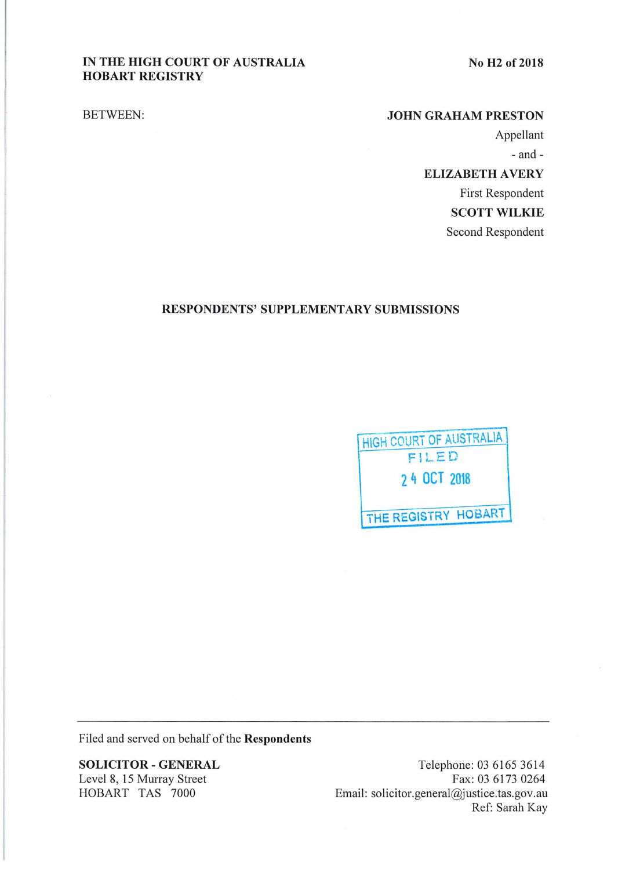# IN THE HIGH COURT OF AUSTRALIA HOBART REGISTRY

No H<sub>2</sub> of 2018

BETWEEN:

#### JOHN GRAHAM PRESTON

Appellant

-and-

ELIZABETH AVERY First Respondent SCOTT WILKIE Second Respondent

## RESPONDENTS' SUPPLEMENTARY SUBMISSIONS



Filed and served on behalf of the Respondents

SOLICITOR- GENERAL Level 8, 15 Murray Street HOBART TAS 7000

Telephone: 03 6165 3614 Fax: 03 6173 0264 Email: solicitor.general@justice.tas.gov.au Ref: Sarah Kay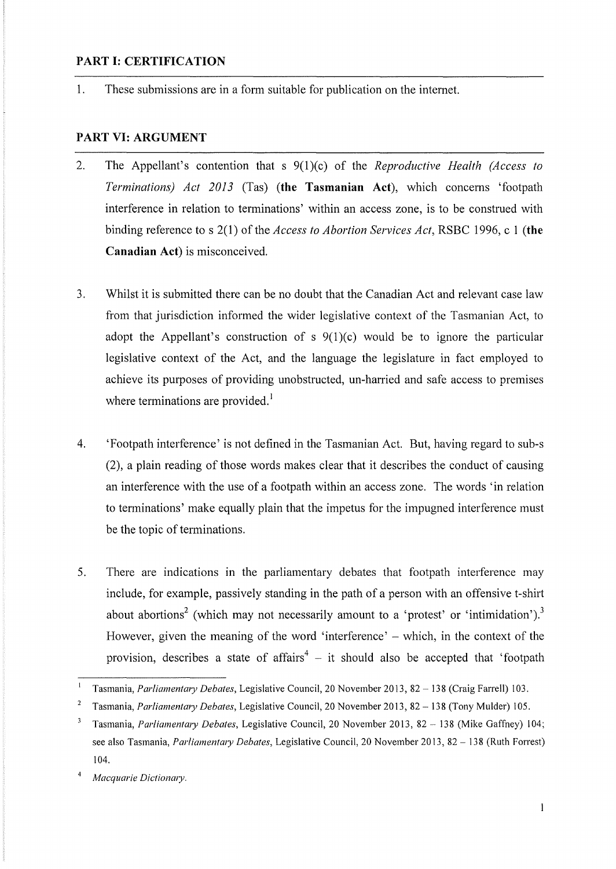#### **PART I: CERTIFICATION**

1. These submissions are in a form suitable for publication on the internet.

## **PART** VI: **ARGUMENT**

- 2. The Appellant's contention that s 9(l)(c) of the *Reproductive Health (Access to Terminations) Act 2013* (Tas) **(the Tasmanian Act),** which concems 'footpath interference in relation to terminations' within an access zone, is to be construed with binding reference to s 2(1) of the *Access to Abortion Services Act,* RSBC 1996, c I **(the Canadian Act)** is misconceived.
- 3. Whilst it is submitted there can be no doubt that the Canadian Act and relevant case law from that jurisdiction informed the wider legislative context of the Tasmanian Act, to adopt the Appellant's construction of s  $9(1)(c)$  would be to ignore the particular legislative context of the Act, and the language the legislature in fact employed to achieve its purposes of providing unobstructed, un-harried and safe access to premises where terminations are provided.<sup>1</sup>
- 4. 'Footpath interference' is not defined in the Tasmanian Act. But, having regard to sub-s (2), a plain reading of those words makes clear that it describes the conduct of causing an interference with the use of a footpath within an access zone. The words 'in relation to terminations' make equally plain that the impetus for the impugned interference must be the topic of terminations.
- 5. There are indications in the parliamentary debates that footpath interference may include, for example, passively standing in the path of a person with an offensive t-shirt about abortions<sup>2</sup> (which may not necessarily amount to a 'protest' or 'intimidation').<sup>3</sup> However, given the meaning of the word 'interference'  $-$  which, in the context of the provision, describes a state of affairs<sup>4</sup> – it should also be accepted that 'footpath

<sup>&</sup>lt;sup>1</sup> Tasmania, *Parliamentary Debates*, Legislative Council, 20 November 2013, 82 – 138 (Craig Farrell) 103.

<sup>&</sup>lt;sup>2</sup> Tasmania, *Parliamentary Debates, Legislative Council, 20 November 2013, 82 – 138 (Tony Mulder) 105.* 

<sup>&</sup>lt;sup>3</sup> Tasmania, *Parliamentary Debates*, Legislative Council, 20 November 2013, 82 – 138 (Mike Gaffney) 104; see also Tasmania, *Parliamentary Debates*, Legislative Council, 20 November 2013, 82 – 138 (Ruth Forrest) 104.

 $\bf{4}$ *Macquarie Dictionmy.*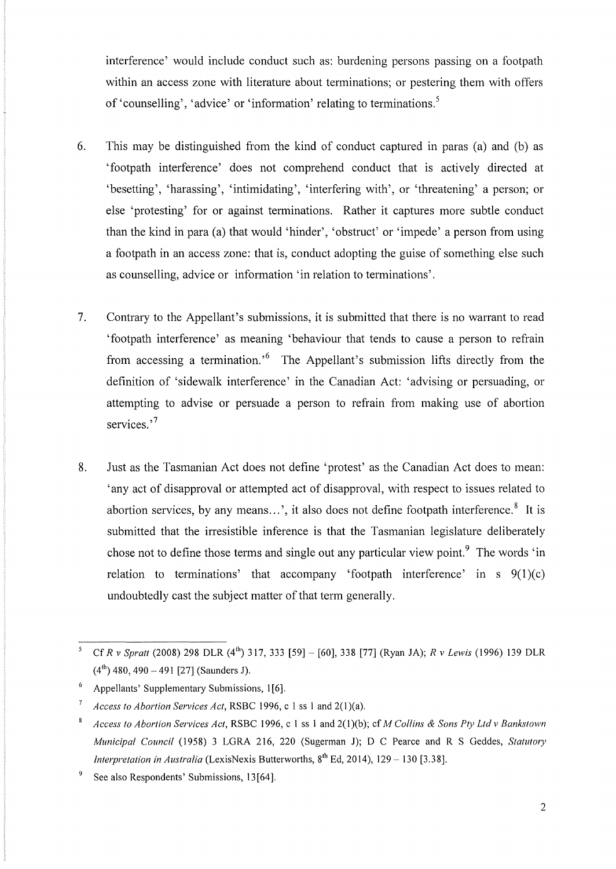interference' would include conduct such as: burdening persons passing on a footpath within an access zone with literature about terminations; or pestering them with offers of 'counselling', 'advice' or 'information' relating to terminations.<sup>5</sup>

- 6. This may be distinguished from the kind of conduct captured in paras (a) and (b) as 'footpath interference' does not comprehend conduct that is actively directed at 'besetting', 'harassing', 'intimidating', 'interfering with', or 'threatening' a person; or else 'protesting' for or against terminations. Rather it captures more subtle conduct than the kind in para (a) that would 'hinder', 'obstruct' or 'impede' a person from using a footpath in an access zone: that is, conduct adopting the guise of something else such as counselling, advice or information 'in relation to terminations'.
- 7. Contrary to the Appellant's submissions, it is submitted that there is no warrant to read 'footpath interference' as meaning 'behaviour that tends to cause a person to refrain from accessing a termination.<sup>'6</sup> The Appellant's submission lifts directly from the definition of 'sidewalk interference' in the Canadian Act: 'advising or persuading, or attempting to advise or persuade a person to refrain from making use of abortion services.'<sup>7</sup>
- 8. Just as the Tasmanian Act does not define 'protest' as the Canadian Act does to mean: 'any act of disapproval or attempted act of disapproval, with respect to issues related to abortion services, by any means...', it also does not define footpath interference. $8$  It is submitted that the irresistible inference is that the Tasmanian legislature deliberately chose not to define those terms and single out any particular view point.<sup>9</sup> The words 'in relation to terminations' that accompany 'footpath interference' in s  $9(1)(c)$ undoubtedly cast the subject matter of that term generally.

<sup>&</sup>lt;sup>5</sup> Cf *R v Spratt* (2008) 298 DLR (4<sup>th</sup>) 317, 333 [59] - [60], 338 [77] (Ryan JA); *R v Lewis* (1996) 139 DLR  $(4^{th})$  480, 490 – 491 [27] (Saunders J).

 $6$  Appellants' Supplementary Submissions, 1[6].

<sup>&</sup>lt;sup>7</sup> *Access to Abortion Services Act, RSBC* 1996, c 1 ss 1 and 2(1)(a).

<sup>8</sup>*Access to Abortion Services Act,* RSBC 1996, c I ss I and 2(1)(b); cf *M Collins* & *Sons Pty Ltd v Bankstown Municipal Council* (1958) 3 LGRA 216, 220 (Sugerman J); D C Pearce and R S Geddes, *Statutory Interpretation in Australia* (LexisNexis Butterworths, 8<sup>th</sup> Ed, 2014), 129 – 130 [3.38].

<sup>9</sup> See also Respondents' Submissions, 13[64].